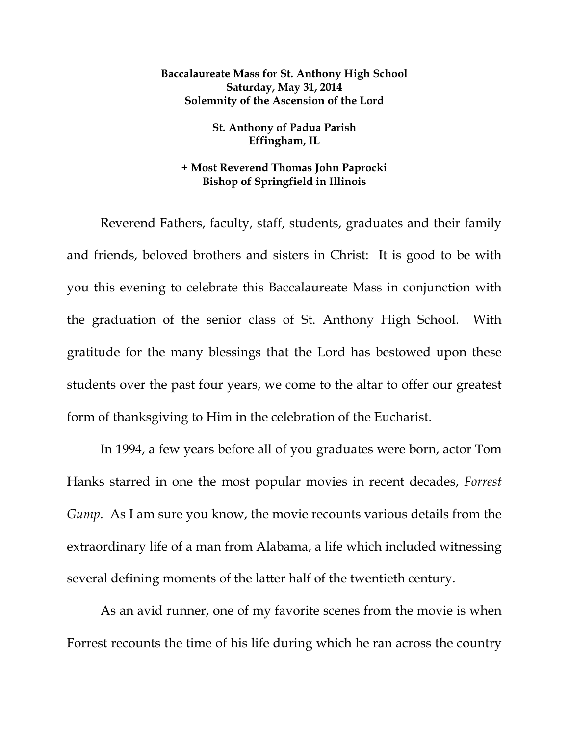## **Baccalaureate Mass for St. Anthony High School Saturday, May 31, 2014 Solemnity of the Ascension of the Lord**

## **St. Anthony of Padua Parish Effingham, IL**

## **+ Most Reverend Thomas John Paprocki Bishop of Springfield in Illinois**

 Reverend Fathers, faculty, staff, students, graduates and their family and friends, beloved brothers and sisters in Christ: It is good to be with you this evening to celebrate this Baccalaureate Mass in conjunction with the graduation of the senior class of St. Anthony High School. With gratitude for the many blessings that the Lord has bestowed upon these students over the past four years, we come to the altar to offer our greatest form of thanksgiving to Him in the celebration of the Eucharist.

 In 1994, a few years before all of you graduates were born, actor Tom Hanks starred in one the most popular movies in recent decades, *Forrest Gump*. As I am sure you know, the movie recounts various details from the extraordinary life of a man from Alabama, a life which included witnessing several defining moments of the latter half of the twentieth century.

 As an avid runner, one of my favorite scenes from the movie is when Forrest recounts the time of his life during which he ran across the country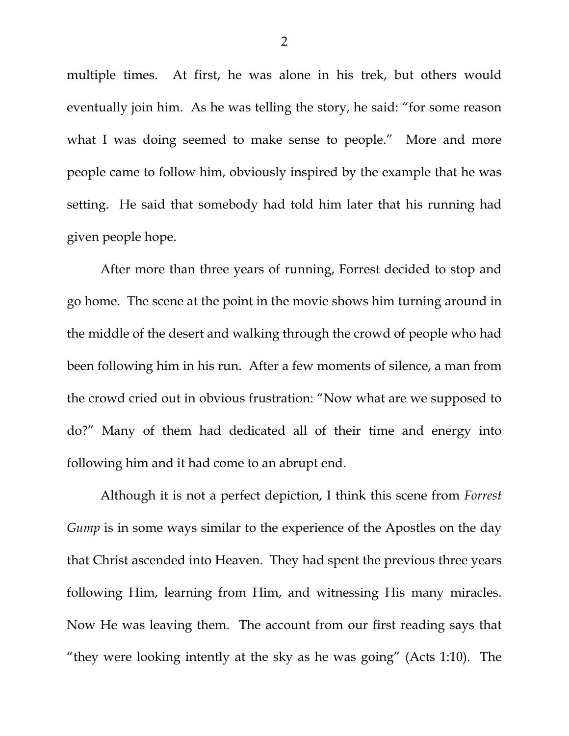multiple times. At first, he was alone in his trek, but others would eventually join him. As he was telling the story, he said: "for some reason what I was doing seemed to make sense to people." More and more people came to follow him, obviously inspired by the example that he was setting. He said that somebody had told him later that his running had given people hope.

 After more than three years of running, Forrest decided to stop and go home. The scene at the point in the movie shows him turning around in the middle of the desert and walking through the crowd of people who had been following him in his run. After a few moments of silence, a man from the crowd cried out in obvious frustration: "Now what are we supposed to do?" Many of them had dedicated all of their time and energy into following him and it had come to an abrupt end.

 Although it is not a perfect depiction, I think this scene from *Forrest Gump* is in some ways similar to the experience of the Apostles on the day that Christ ascended into Heaven. They had spent the previous three years following Him, learning from Him, and witnessing His many miracles. Now He was leaving them. The account from our first reading says that "they were looking intently at the sky as he was going" (Acts 1:10). The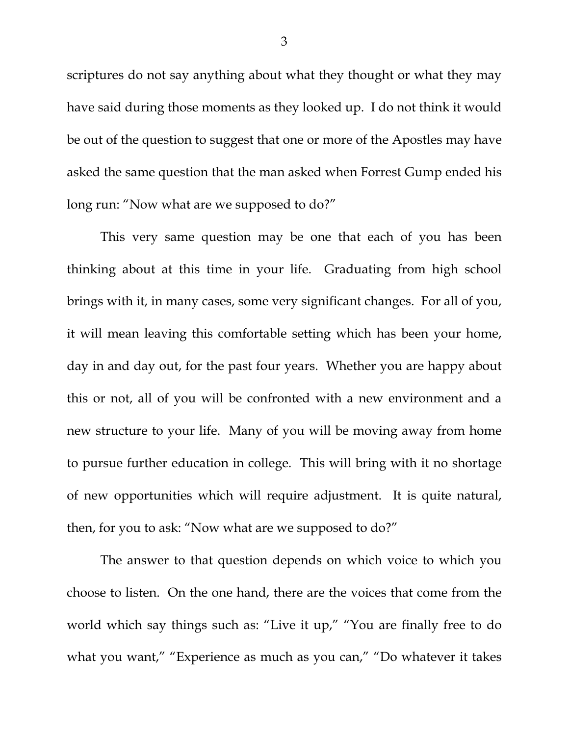scriptures do not say anything about what they thought or what they may have said during those moments as they looked up. I do not think it would be out of the question to suggest that one or more of the Apostles may have asked the same question that the man asked when Forrest Gump ended his long run: "Now what are we supposed to do?"

 This very same question may be one that each of you has been thinking about at this time in your life. Graduating from high school brings with it, in many cases, some very significant changes. For all of you, it will mean leaving this comfortable setting which has been your home, day in and day out, for the past four years. Whether you are happy about this or not, all of you will be confronted with a new environment and a new structure to your life. Many of you will be moving away from home to pursue further education in college. This will bring with it no shortage of new opportunities which will require adjustment. It is quite natural, then, for you to ask: "Now what are we supposed to do?"

 The answer to that question depends on which voice to which you choose to listen. On the one hand, there are the voices that come from the world which say things such as: "Live it up," "You are finally free to do what you want," "Experience as much as you can," "Do whatever it takes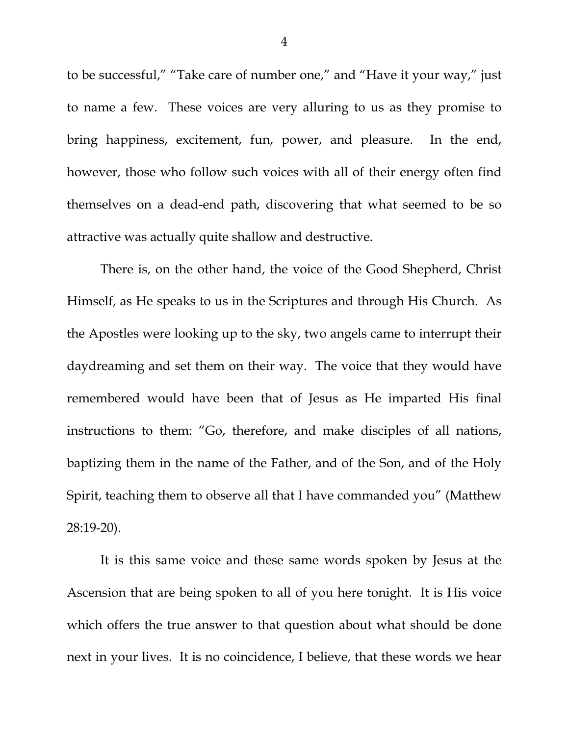to be successful," "Take care of number one," and "Have it your way," just to name a few. These voices are very alluring to us as they promise to bring happiness, excitement, fun, power, and pleasure. In the end, however, those who follow such voices with all of their energy often find themselves on a dead-end path, discovering that what seemed to be so attractive was actually quite shallow and destructive.

 There is, on the other hand, the voice of the Good Shepherd, Christ Himself, as He speaks to us in the Scriptures and through His Church. As the Apostles were looking up to the sky, two angels came to interrupt their daydreaming and set them on their way. The voice that they would have remembered would have been that of Jesus as He imparted His final instructions to them: "Go, therefore, and make disciples of all nations, baptizing them in the name of the Father, and of the Son, and of the Holy Spirit, teaching them to observe all that I have commanded you" (Matthew 28:19-20).

 It is this same voice and these same words spoken by Jesus at the Ascension that are being spoken to all of you here tonight. It is His voice which offers the true answer to that question about what should be done next in your lives. It is no coincidence, I believe, that these words we hear

4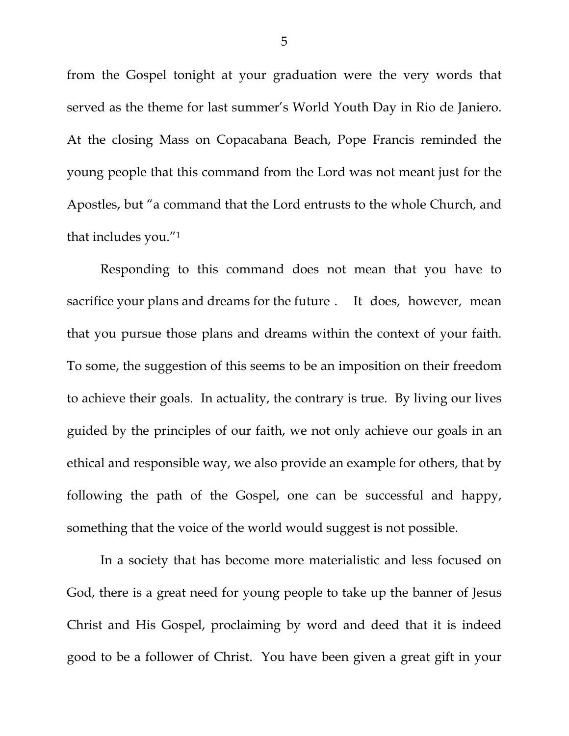from the Gospel tonight at your graduation were the very words that served as the theme for last summer's World Youth Day in Rio de Janiero. At the closing Mass on Copacabana Beach, Pope Francis reminded the young people that this command from the Lord was not meant just for the Apostles, but "a command that the Lord entrusts to the whole Church, and that includes you."1

 Responding to this command does not mean that you have to sacrifice your plans and dreams for the future . It does, however, mean that you pursue those plans and dreams within the context of your faith. To some, the suggestion of this seems to be an imposition on their freedom to achieve their goals. In actuality, the contrary is true. By living our lives guided by the principles of our faith, we not only achieve our goals in an ethical and responsible way, we also provide an example for others, that by following the path of the Gospel, one can be successful and happy, something that the voice of the world would suggest is not possible.

 In a society that has become more materialistic and less focused on God, there is a great need for young people to take up the banner of Jesus Christ and His Gospel, proclaiming by word and deed that it is indeed good to be a follower of Christ. You have been given a great gift in your

5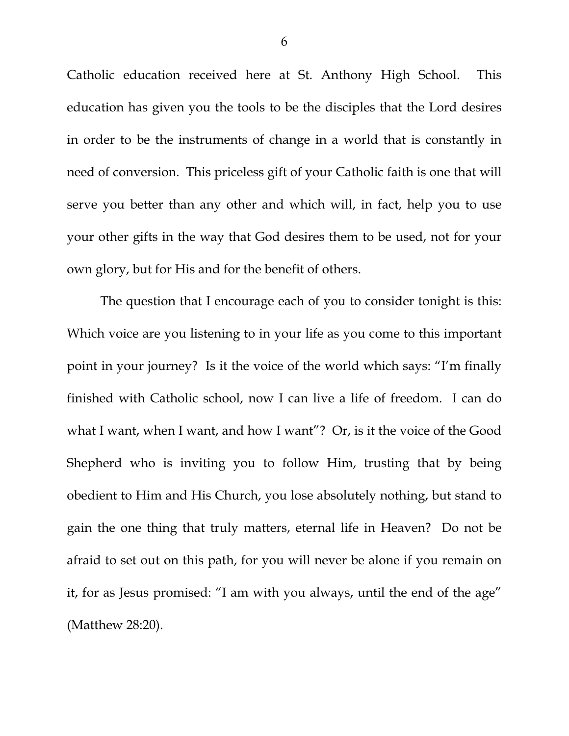Catholic education received here at St. Anthony High School. This education has given you the tools to be the disciples that the Lord desires in order to be the instruments of change in a world that is constantly in need of conversion. This priceless gift of your Catholic faith is one that will serve you better than any other and which will, in fact, help you to use your other gifts in the way that God desires them to be used, not for your own glory, but for His and for the benefit of others.

 The question that I encourage each of you to consider tonight is this: Which voice are you listening to in your life as you come to this important point in your journey? Is it the voice of the world which says: "I'm finally finished with Catholic school, now I can live a life of freedom. I can do what I want, when I want, and how I want"? Or, is it the voice of the Good Shepherd who is inviting you to follow Him, trusting that by being obedient to Him and His Church, you lose absolutely nothing, but stand to gain the one thing that truly matters, eternal life in Heaven? Do not be afraid to set out on this path, for you will never be alone if you remain on it, for as Jesus promised: "I am with you always, until the end of the age" (Matthew 28:20).